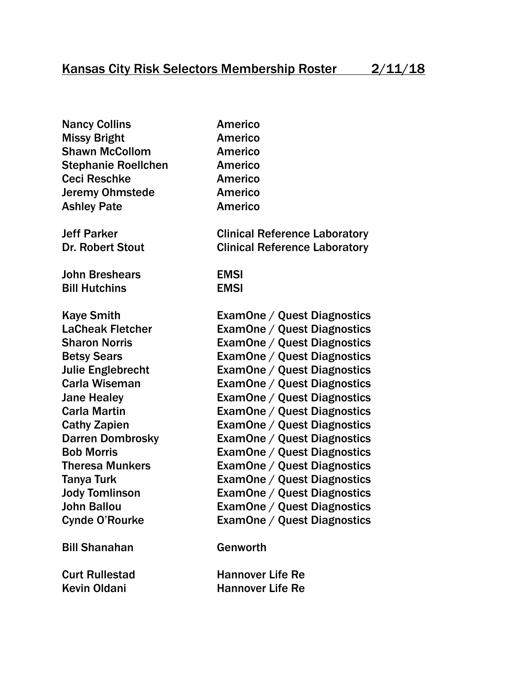Nancy Collins **Americo** Missy Bright **Americo** Shawn McCollom **Americo** Stephanie Roellchen **Americo** Ceci Reschke Americo Jeremy Ohmstede Americo Ashley Pate **Americo Jeff Parker Clinical Reference Laboratory** Dr. Robert Stout Clinical Reference Laboratory John Breshears EMSI Bill Hutchins EMSI Kaye Smith ExamOne / Quest Diagnostics LaCheak Fletcher ExamOne / Quest Diagnostics Sharon Norris ExamOne / Quest Diagnostics Betsy Sears ExamOne / Quest Diagnostics Julie Englebrecht ExamOne / Quest Diagnostics Carla Wiseman ExamOne / Quest Diagnostics Jane Healey ExamOne / Quest Diagnostics Carla Martin ExamOne / Quest Diagnostics Cathy Zapien **ExamOne / Quest Diagnostics** Darren Dombrosky ExamOne / Quest Diagnostics Bob Morris ExamOne / Quest Diagnostics Theresa Munkers ExamOne / Quest Diagnostics Tanya Turk ExamOne / Quest Diagnostics Jody Tomlinson ExamOne / Quest Diagnostics John Ballou ExamOne / Quest Diagnostics Cynde O'Rourke ExamOne / Quest Diagnostics Bill Shanahan Genworth

Curt Rullestad Hannover Life Re Kevin Oldani **Hannover Life Re**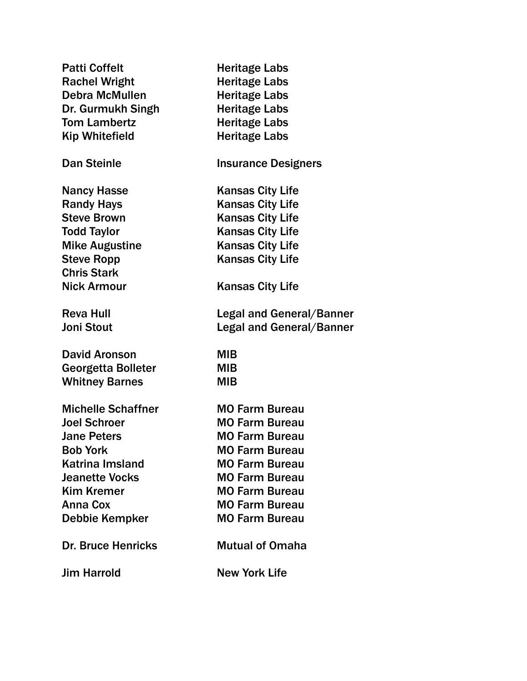| <b>Patti Coffelt</b>                                                                                                                                                          | <b>Heritage Labs</b>                                                                                                                                                                      |
|-------------------------------------------------------------------------------------------------------------------------------------------------------------------------------|-------------------------------------------------------------------------------------------------------------------------------------------------------------------------------------------|
| <b>Rachel Wright</b>                                                                                                                                                          | <b>Heritage Labs</b>                                                                                                                                                                      |
| <b>Debra McMullen</b>                                                                                                                                                         | <b>Heritage Labs</b>                                                                                                                                                                      |
| Dr. Gurmukh Singh                                                                                                                                                             | <b>Heritage Labs</b>                                                                                                                                                                      |
| <b>Tom Lambertz</b>                                                                                                                                                           | <b>Heritage Labs</b>                                                                                                                                                                      |
| <b>Kip Whitefield</b>                                                                                                                                                         | <b>Heritage Labs</b>                                                                                                                                                                      |
| <b>Dan Steinle</b>                                                                                                                                                            | <b>Insurance Designers</b>                                                                                                                                                                |
| <b>Nancy Hasse</b><br><b>Randy Hays</b><br><b>Steve Brown</b><br><b>Todd Taylor</b><br><b>Mike Augustine</b><br><b>Steve Ropp</b><br><b>Chris Stark</b><br><b>Nick Armour</b> | <b>Kansas City Life</b><br><b>Kansas City Life</b><br><b>Kansas City Life</b><br><b>Kansas City Life</b><br><b>Kansas City Life</b><br><b>Kansas City Life</b><br><b>Kansas City Life</b> |
| <b>Reva Hull</b>                                                                                                                                                              | Legal and General/Banner                                                                                                                                                                  |
| <b>Joni Stout</b>                                                                                                                                                             | <b>Legal and General/Banner</b>                                                                                                                                                           |
| <b>David Aronson</b>                                                                                                                                                          | <b>MIB</b>                                                                                                                                                                                |
| <b>Georgetta Bolleter</b>                                                                                                                                                     | <b>MIB</b>                                                                                                                                                                                |
| <b>Whitney Barnes</b>                                                                                                                                                         | <b>MIB</b>                                                                                                                                                                                |
| <b>Michelle Schaffner</b>                                                                                                                                                     | <b>MO Farm Bureau</b>                                                                                                                                                                     |
| <b>Joel Schroer</b>                                                                                                                                                           | <b>MO Farm Bureau</b>                                                                                                                                                                     |
| <b>Jane Peters</b>                                                                                                                                                            | <b>MO Farm Bureau</b>                                                                                                                                                                     |
| <b>Bob York</b>                                                                                                                                                               | <b>MO Farm Bureau</b>                                                                                                                                                                     |
| <b>Katrina Imsland</b>                                                                                                                                                        | <b>MO Farm Bureau</b>                                                                                                                                                                     |
| <b>Jeanette Vocks</b>                                                                                                                                                         | <b>MO Farm Bureau</b>                                                                                                                                                                     |
| <b>Kim Kremer</b>                                                                                                                                                             | <b>MO Farm Bureau</b>                                                                                                                                                                     |
| <b>Anna Cox</b>                                                                                                                                                               | <b>MO Farm Bureau</b>                                                                                                                                                                     |
| Debbie Kempker                                                                                                                                                                | <b>MO Farm Bureau</b>                                                                                                                                                                     |
| <b>Dr. Bruce Henricks</b>                                                                                                                                                     | <b>Mutual of Omaha</b>                                                                                                                                                                    |
| <b>Jim Harrold</b>                                                                                                                                                            | <b>New York Life</b>                                                                                                                                                                      |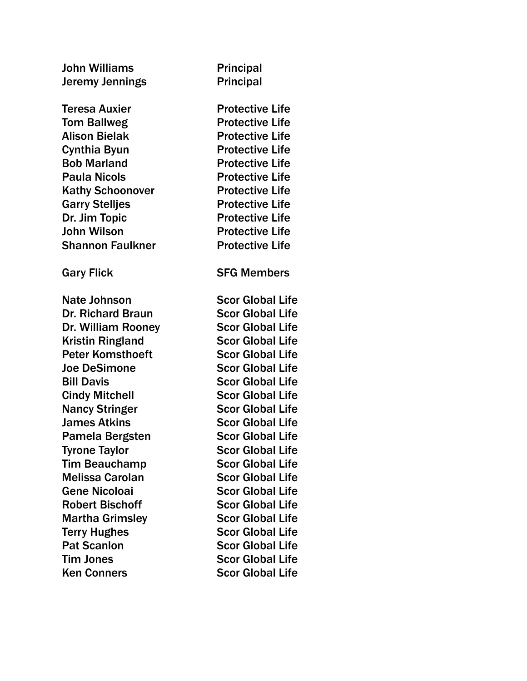| <b>John Williams</b>     | <b>Principal</b>        |
|--------------------------|-------------------------|
| Jeremy Jennings          | <b>Principal</b>        |
| <b>Teresa Auxier</b>     | <b>Protective Life</b>  |
| <b>Tom Ballweg</b>       | <b>Protective Life</b>  |
| <b>Alison Bielak</b>     | <b>Protective Life</b>  |
| <b>Cynthia Byun</b>      | <b>Protective Life</b>  |
| <b>Bob Marland</b>       | <b>Protective Life</b>  |
| <b>Paula Nicols</b>      | <b>Protective Life</b>  |
| <b>Kathy Schoonover</b>  | <b>Protective Life</b>  |
| <b>Garry Stelljes</b>    | <b>Protective Life</b>  |
| Dr. Jim Topic            | <b>Protective Life</b>  |
| <b>John Wilson</b>       | <b>Protective Life</b>  |
| <b>Shannon Faulkner</b>  | <b>Protective Life</b>  |
| <b>Gary Flick</b>        | <b>SFG Members</b>      |
| Nate Johnson             | <b>Scor Global Life</b> |
| <b>Dr. Richard Braun</b> | <b>Scor Global Life</b> |
| Dr. William Rooney       | <b>Scor Global Life</b> |
| <b>Kristin Ringland</b>  | <b>Scor Global Life</b> |
| <b>Peter Komsthoeft</b>  | <b>Scor Global Life</b> |
| <b>Joe DeSimone</b>      | <b>Scor Global Life</b> |
| <b>Bill Davis</b>        | <b>Scor Global Life</b> |
| <b>Cindy Mitchell</b>    | <b>Scor Global Life</b> |
| <b>Nancy Stringer</b>    | <b>Scor Global Life</b> |
| <b>James Atkins</b>      | <b>Scor Global Life</b> |
| Pamela Bergsten          | <b>Scor Global Life</b> |
| <b>Tyrone Taylor</b>     | <b>Scor Global Life</b> |
| <b>Tim Beauchamp</b>     | <b>Scor Global Life</b> |
| <b>Melissa Carolan</b>   | <b>Scor Global Life</b> |
| <b>Gene Nicoloai</b>     | <b>Scor Global Life</b> |
| <b>Robert Bischoff</b>   | <b>Scor Global Life</b> |
| <b>Martha Grimsley</b>   | <b>Scor Global Life</b> |
| <b>Terry Hughes</b>      | <b>Scor Global Life</b> |
| <b>Pat Scanlon</b>       | <b>Scor Global Life</b> |
| <b>Tim Jones</b>         | <b>Scor Global Life</b> |
| <b>Ken Conners</b>       | <b>Scor Global Life</b> |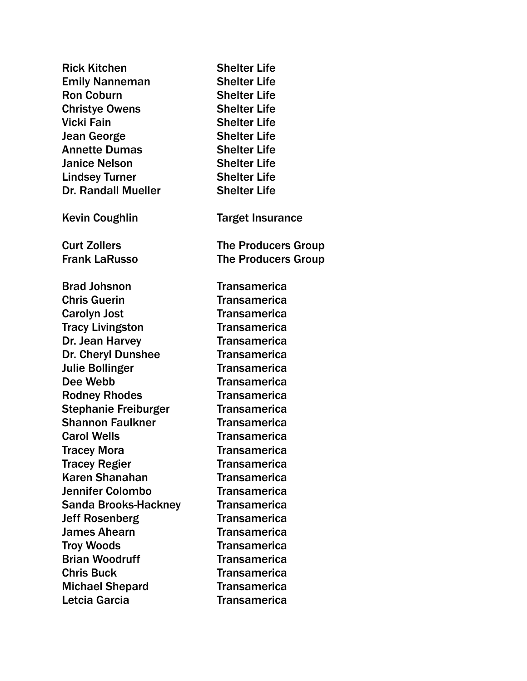| <b>Shelter Life</b>        |
|----------------------------|
| <b>Shelter Life</b>        |
| <b>Shelter Life</b>        |
| <b>Shelter Life</b>        |
| <b>Shelter Life</b>        |
| <b>Shelter Life</b>        |
| <b>Shelter Life</b>        |
| <b>Shelter Life</b>        |
| <b>Shelter Life</b>        |
| <b>Shelter Life</b>        |
| <b>Target Insurance</b>    |
| <b>The Producers Group</b> |
| <b>The Producers Group</b> |
| <b>Transamerica</b>        |
| <b>Transamerica</b>        |
| <b>Transamerica</b>        |
| <b>Transamerica</b>        |
| <b>Transamerica</b>        |
| <b>Transamerica</b>        |
| <b>Transamerica</b>        |
| <b>Transamerica</b>        |
| <b>Transamerica</b>        |
| <b>Transamerica</b>        |
| <b>Transamerica</b>        |
| <b>Transamerica</b>        |
| Transamerica               |
| <b>Transamerica</b>        |
| <b>Transamerica</b>        |
| <b>Transamerica</b>        |
| <b>Transamerica</b>        |
| <b>Transamerica</b>        |
| <b>Transamerica</b>        |
| <b>Transamerica</b>        |
| <b>Transamerica</b>        |
| <b>Transamerica</b>        |
| <b>Transamerica</b>        |
| <b>Transamerica</b>        |
|                            |